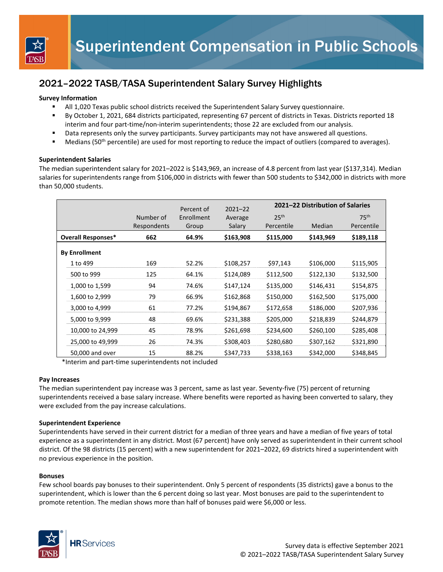

## 2021–2022 TASB/TASA Superintendent Salary Survey Highlights

## **Survey Information**

- All 1,020 Texas public school districts received the Superintendent Salary Survey questionnaire.
- By October 1, 2021, 684 districts participated, representing 67 percent of districts in Texas. Districts reported 18 interim and four part-time/non-interim superintendents; those 22 are excluded from our analysis.
- Data represents only the survey participants. Survey participants may not have answered all questions.
- Medians (50<sup>th</sup> percentile) are used for most reporting to reduce the impact of outliers (compared to averages).

### **Superintendent Salaries**

The median superintendent salary for 2021–2022 is \$143,969, an increase of 4.8 percent from last year (\$137,314). Median salaries for superintendents range from \$106,000 in districts with fewer than 500 students to \$342,000 in districts with more than 50,000 students.

|                           |                  |             | Percent of | $2021 - 22$ | 2021-22 Distribution of Salaries |           |                  |
|---------------------------|------------------|-------------|------------|-------------|----------------------------------|-----------|------------------|
|                           |                  | Number of   | Enrollment | Average     | 25 <sup>th</sup>                 |           | 75 <sup>th</sup> |
|                           |                  | Respondents | Group      | Salary      | Percentile                       | Median    | Percentile       |
| <b>Overall Responses*</b> |                  | 662         | 64.9%      | \$163,908   | \$115,000                        | \$143,969 | \$189,118        |
| <b>By Enrollment</b>      |                  |             |            |             |                                  |           |                  |
|                           | 1 to 499         | 169         | 52.2%      | \$108,257   | \$97,143                         | \$106,000 | \$115,905        |
|                           | 500 to 999       | 125         | 64.1%      | \$124,089   | \$112,500                        | \$122,130 | \$132,500        |
|                           | 1,000 to 1,599   | 94          | 74.6%      | \$147,124   | \$135,000                        | \$146,431 | \$154,875        |
|                           | 1,600 to 2,999   | 79          | 66.9%      | \$162,868   | \$150,000                        | \$162,500 | \$175,000        |
|                           | 3,000 to 4,999   | 61          | 77.2%      | \$194,867   | \$172,658                        | \$186,000 | \$207,936        |
|                           | 5,000 to 9,999   | 48          | 69.6%      | \$231,388   | \$205,000                        | \$218,839 | \$244,879        |
|                           | 10,000 to 24,999 | 45          | 78.9%      | \$261,698   | \$234,600                        | \$260,100 | \$285,408        |
|                           | 25,000 to 49,999 | 26          | 74.3%      | \$308,403   | \$280,680                        | \$307,162 | \$321,890        |
|                           | 50,000 and over  | 15          | 88.2%      | \$347,733   | \$338,163                        | \$342,000 | \$348,845        |

\*Interim and part‐time superintendents not included

### **Pay Increases**

The median superintendent pay increase was 3 percent, same as last year. Seventy-five (75) percent of returning superintendents received a base salary increase. Where benefits were reported as having been converted to salary, they were excluded from the pay increase calculations.

### **Superintendent Experience**

Superintendents have served in their current district for a median of three years and have a median of five years of total experience as a superintendent in any district. Most (67 percent) have only served as superintendent in their current school district. Of the 98 districts (15 percent) with a new superintendent for 2021–2022, 69 districts hired a superintendent with no previous experience in the position.

### **Bonuses**

Few school boards pay bonuses to their superintendent. Only 5 percent of respondents (35 districts) gave a bonus to the superintendent, which is lower than the 6 percent doing so last year. Most bonuses are paid to the superintendent to promote retention. The median shows more than half of bonuses paid were \$6,000 or less.